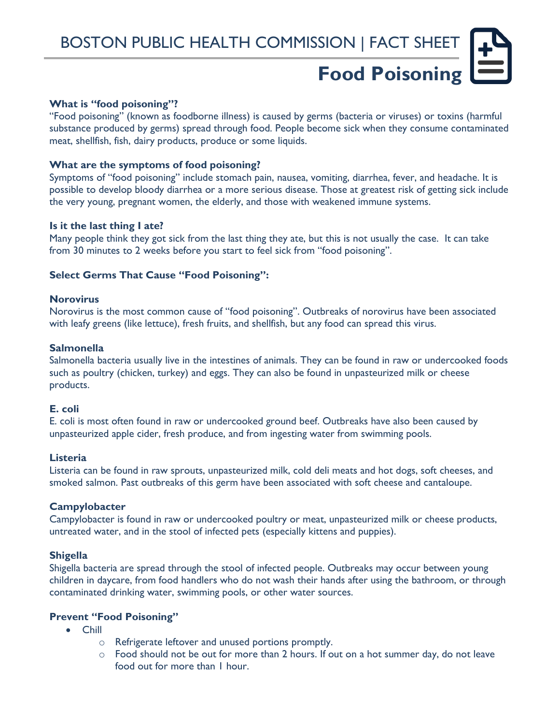# **Food Poisoning**

## **What is "food poisoning"?**

"Food poisoning" (known as foodborne illness) is caused by germs (bacteria or viruses) or toxins (harmful substance produced by germs) spread through food. People become sick when they consume contaminated meat, shellfish, fish, dairy products, produce or some liquids.

#### **What are the symptoms of food poisoning?**

Symptoms of "food poisoning" include stomach pain, nausea, vomiting, diarrhea, fever, and headache. It is possible to develop bloody diarrhea or a more serious disease. Those at greatest risk of getting sick include the very young, pregnant women, the elderly, and those with weakened immune systems.

## **Is it the last thing I ate?**

Many people think they got sick from the last thing they ate, but this is not usually the case. It can take from 30 minutes to 2 weeks before you start to feel sick from "food poisoning".

## **Select Germs That Cause "Food Poisoning":**

#### **Norovirus**

Norovirus is the most common cause of "food poisoning". Outbreaks of norovirus have been associated with leafy greens (like lettuce), fresh fruits, and shellfish, but any food can spread this virus.

#### **Salmonella**

Salmonella bacteria usually live in the intestines of animals. They can be found in raw or undercooked foods such as poultry (chicken, turkey) and eggs. They can also be found in unpasteurized milk or cheese products.

#### **E. coli**

E. coli is most often found in raw or undercooked ground beef. Outbreaks have also been caused by unpasteurized apple cider, fresh produce, and from ingesting water from swimming pools.

#### **Listeria**

Listeria can be found in raw sprouts, unpasteurized milk, cold deli meats and hot dogs, soft cheeses, and smoked salmon. Past outbreaks of this germ have been associated with soft cheese and cantaloupe.

# **Campylobacter**

Campylobacter is found in raw or undercooked poultry or meat, unpasteurized milk or cheese products, untreated water, and in the stool of infected pets (especially kittens and puppies).

# **Shigella**

Shigella bacteria are spread through the stool of infected people. Outbreaks may occur between young children in daycare, from food handlers who do not wash their hands after using the bathroom, or through contaminated drinking water, swimming pools, or other water sources.

# **Prevent "Food Poisoning"**

- Chill
	- o Refrigerate leftover and unused portions promptly.
	- o Food should not be out for more than 2 hours. If out on a hot summer day, do not leave food out for more than 1 hour.